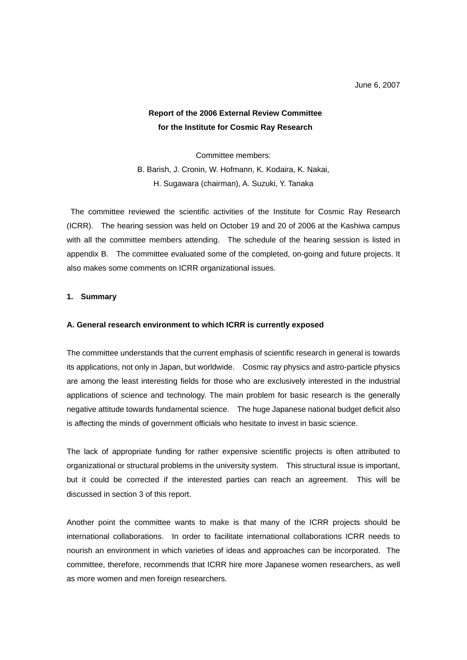# **Report of the 2006 External Review Committee for the Institute for Cosmic Ray Research**

Committee members:

B. Barish, J. Cronin, W. Hofmann, K. Kodaira, K. Nakai, H. Sugawara (chairman), A. Suzuki, Y. Tanaka

 The committee reviewed the scientific activities of the Institute for Cosmic Ray Research (ICRR). The hearing session was held on October 19 and 20 of 2006 at the Kashiwa campus with all the committee members attending. The schedule of the hearing session is listed in appendix B. The committee evaluated some of the completed, on-going and future projects. It also makes some comments on ICRR organizational issues.

# **1. Summary**

# **A. General research environment to which ICRR is currently exposed**

The committee understands that the current emphasis of scientific research in general is towards its applications, not only in Japan, but worldwide. Cosmic ray physics and astro-particle physics are among the least interesting fields for those who are exclusively interested in the industrial applications of science and technology. The main problem for basic research is the generally negative attitude towards fundamental science. The huge Japanese national budget deficit also is affecting the minds of government officials who hesitate to invest in basic science.

The lack of appropriate funding for rather expensive scientific projects is often attributed to organizational or structural problems in the university system. This structural issue is important, but it could be corrected if the interested parties can reach an agreement. This will be discussed in section 3 of this report.

Another point the committee wants to make is that many of the ICRR projects should be international collaborations. In order to facilitate international collaborations ICRR needs to nourish an environment in which varieties of ideas and approaches can be incorporated. The committee, therefore, recommends that ICRR hire more Japanese women researchers, as well as more women and men foreign researchers.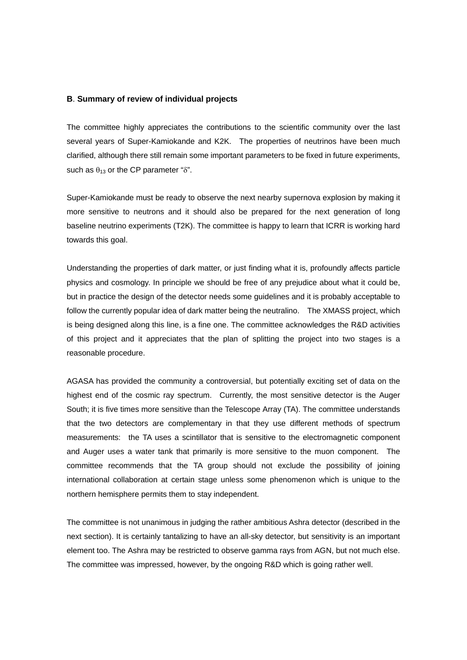# **B**. **Summary of review of individual projects**

The committee highly appreciates the contributions to the scientific community over the last several years of Super-Kamiokande and K2K. The properties of neutrinos have been much clarified, although there still remain some important parameters to be fixed in future experiments, such as  $\theta_{13}$  or the CP parameter " $\delta$ ".

Super-Kamiokande must be ready to observe the next nearby supernova explosion by making it more sensitive to neutrons and it should also be prepared for the next generation of long baseline neutrino experiments (T2K). The committee is happy to learn that ICRR is working hard towards this goal.

Understanding the properties of dark matter, or just finding what it is, profoundly affects particle physics and cosmology. In principle we should be free of any prejudice about what it could be, but in practice the design of the detector needs some guidelines and it is probably acceptable to follow the currently popular idea of dark matter being the neutralino. The XMASS project, which is being designed along this line, is a fine one. The committee acknowledges the R&D activities of this project and it appreciates that the plan of splitting the project into two stages is a reasonable procedure.

AGASA has provided the community a controversial, but potentially exciting set of data on the highest end of the cosmic ray spectrum. Currently, the most sensitive detector is the Auger South; it is five times more sensitive than the Telescope Array (TA). The committee understands that the two detectors are complementary in that they use different methods of spectrum measurements: the TA uses a scintillator that is sensitive to the electromagnetic component and Auger uses a water tank that primarily is more sensitive to the muon component. The committee recommends that the TA group should not exclude the possibility of joining international collaboration at certain stage unless some phenomenon which is unique to the northern hemisphere permits them to stay independent.

The committee is not unanimous in judging the rather ambitious Ashra detector (described in the next section). It is certainly tantalizing to have an all-sky detector, but sensitivity is an important element too. The Ashra may be restricted to observe gamma rays from AGN, but not much else. The committee was impressed, however, by the ongoing R&D which is going rather well.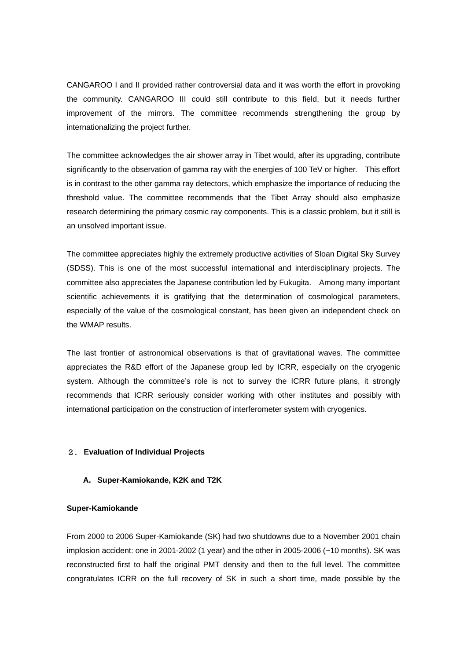CANGAROO I and II provided rather controversial data and it was worth the effort in provoking the community. CANGAROO III could still contribute to this field, but it needs further improvement of the mirrors. The committee recommends strengthening the group by internationalizing the project further.

The committee acknowledges the air shower array in Tibet would, after its upgrading, contribute significantly to the observation of gamma ray with the energies of 100 TeV or higher. This effort is in contrast to the other gamma ray detectors, which emphasize the importance of reducing the threshold value. The committee recommends that the Tibet Array should also emphasize research determining the primary cosmic ray components. This is a classic problem, but it still is an unsolved important issue.

The committee appreciates highly the extremely productive activities of Sloan Digital Sky Survey (SDSS). This is one of the most successful international and interdisciplinary projects. The committee also appreciates the Japanese contribution led by Fukugita. Among many important scientific achievements it is gratifying that the determination of cosmological parameters, especially of the value of the cosmological constant, has been given an independent check on the WMAP results.

The last frontier of astronomical observations is that of gravitational waves. The committee appreciates the R&D effort of the Japanese group led by ICRR, especially on the cryogenic system. Although the committee's role is not to survey the ICRR future plans, it strongly recommends that ICRR seriously consider working with other institutes and possibly with international participation on the construction of interferometer system with cryogenics.

# 2. **Evaluation of Individual Projects**

# **A. Super-Kamiokande, K2K and T2K**

# **Super-Kamiokande**

From 2000 to 2006 Super-Kamiokande (SK) had two shutdowns due to a November 2001 chain implosion accident: one in 2001-2002 (1 year) and the other in 2005-2006 (~10 months). SK was reconstructed first to half the original PMT density and then to the full level. The committee congratulates ICRR on the full recovery of SK in such a short time, made possible by the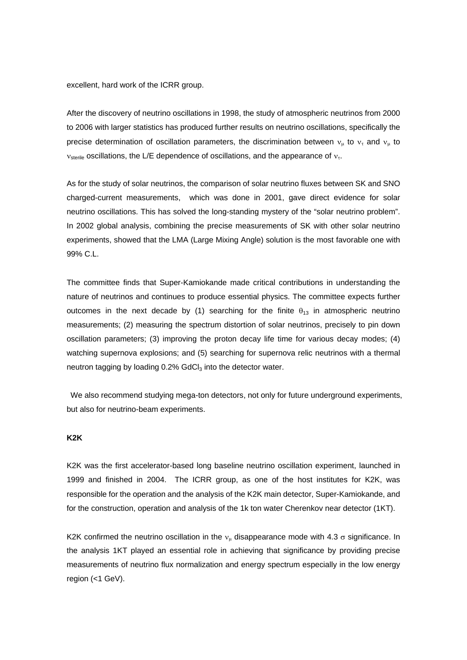excellent, hard work of the ICRR group.

After the discovery of neutrino oscillations in 1998, the study of atmospheric neutrinos from 2000 to 2006 with larger statistics has produced further results on neutrino oscillations, specifically the precise determination of oscillation parameters, the discrimination between  $v_{\mu}$  to  $v_{\tau}$  and  $v_{\mu}$  to  $v_{\text{sterile}}$  oscillations, the L/E dependence of oscillations, and the appearance of  $v_{\tau}$ .

As for the study of solar neutrinos, the comparison of solar neutrino fluxes between SK and SNO charged-current measurements, which was done in 2001, gave direct evidence for solar neutrino oscillations. This has solved the long-standing mystery of the "solar neutrino problem". In 2002 global analysis, combining the precise measurements of SK with other solar neutrino experiments, showed that the LMA (Large Mixing Angle) solution is the most favorable one with 99% C.L.

The committee finds that Super-Kamiokande made critical contributions in understanding the nature of neutrinos and continues to produce essential physics. The committee expects further outcomes in the next decade by (1) searching for the finite  $\theta_{13}$  in atmospheric neutrino measurements; (2) measuring the spectrum distortion of solar neutrinos, precisely to pin down oscillation parameters; (3) improving the proton decay life time for various decay modes; (4) watching supernova explosions; and (5) searching for supernova relic neutrinos with a thermal neutron tagging by loading 0.2% GdCl<sub>3</sub> into the detector water.

 We also recommend studying mega-ton detectors, not only for future underground experiments, but also for neutrino-beam experiments.

#### **K2K**

K2K was the first accelerator-based long baseline neutrino oscillation experiment, launched in 1999 and finished in 2004. The ICRR group, as one of the host institutes for K2K, was responsible for the operation and the analysis of the K2K main detector, Super-Kamiokande, and for the construction, operation and analysis of the 1k ton water Cherenkov near detector (1KT).

K2K confirmed the neutrino oscillation in the  $v_{\mu}$  disappearance mode with 4.3  $\sigma$  significance. In the analysis 1KT played an essential role in achieving that significance by providing precise measurements of neutrino flux normalization and energy spectrum especially in the low energy region (<1 GeV).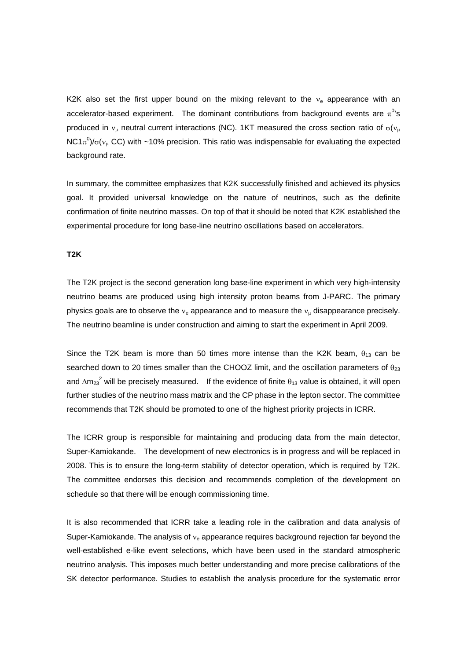K2K also set the first upper bound on the mixing relevant to the  $v<sub>e</sub>$  appearance with an accelerator-based experiment. The dominant contributions from background events are  $\pi^{0}$ 's produced in  $v_{\mu}$  neutral current interactions (NC). 1KT measured the cross section ratio of  $\sigma$ ( $v_{\mu}$ NC1 $\pi^0$ )/σ( $v_\mu$  CC) with ~10% precision. This ratio was indispensable for evaluating the expected background rate.

In summary, the committee emphasizes that K2K successfully finished and achieved its physics goal. It provided universal knowledge on the nature of neutrinos, such as the definite confirmation of finite neutrino masses. On top of that it should be noted that K2K established the experimental procedure for long base-line neutrino oscillations based on accelerators.

# **T2K**

The T2K project is the second generation long base-line experiment in which very high-intensity neutrino beams are produced using high intensity proton beams from J-PARC. The primary physics goals are to observe the  $v_e$  appearance and to measure the  $v_u$  disappearance precisely. The neutrino beamline is under construction and aiming to start the experiment in April 2009.

Since the T2K beam is more than 50 times more intense than the K2K beam,  $\theta_{13}$  can be searched down to 20 times smaller than the CHOOZ limit, and the oscillation parameters of  $\theta_{23}$ and  $\Delta$ m<sub>23</sub><sup>2</sup> will be precisely measured. If the evidence of finite  $\theta_{13}$  value is obtained, it will open further studies of the neutrino mass matrix and the CP phase in the lepton sector. The committee recommends that T2K should be promoted to one of the highest priority projects in ICRR.

The ICRR group is responsible for maintaining and producing data from the main detector, Super-Kamiokande. The development of new electronics is in progress and will be replaced in 2008. This is to ensure the long-term stability of detector operation, which is required by T2K. The committee endorses this decision and recommends completion of the development on schedule so that there will be enough commissioning time.

It is also recommended that ICRR take a leading role in the calibration and data analysis of Super-Kamiokande. The analysis of  $v_e$  appearance requires background rejection far beyond the well-established e-like event selections, which have been used in the standard atmospheric neutrino analysis. This imposes much better understanding and more precise calibrations of the SK detector performance. Studies to establish the analysis procedure for the systematic error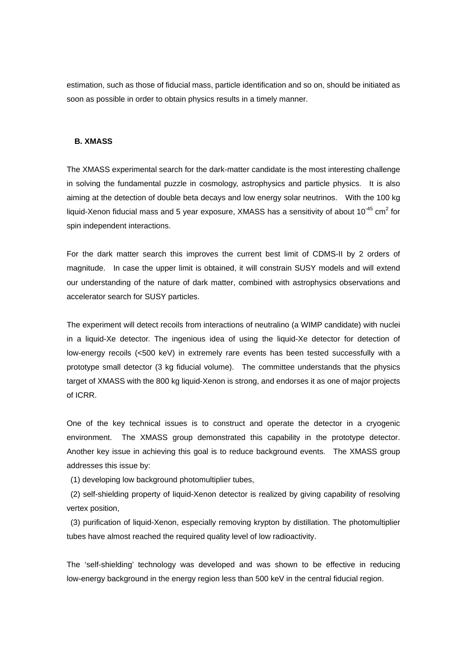estimation, such as those of fiducial mass, particle identification and so on, should be initiated as soon as possible in order to obtain physics results in a timely manner.

# **B. XMASS**

The XMASS experimental search for the dark-matter candidate is the most interesting challenge in solving the fundamental puzzle in cosmology, astrophysics and particle physics. It is also aiming at the detection of double beta decays and low energy solar neutrinos. With the 100 kg liquid-Xenon fiducial mass and 5 year exposure, XMASS has a sensitivity of about 10<sup>-45</sup> cm<sup>2</sup> for spin independent interactions.

For the dark matter search this improves the current best limit of CDMS-II by 2 orders of magnitude. In case the upper limit is obtained, it will constrain SUSY models and will extend our understanding of the nature of dark matter, combined with astrophysics observations and accelerator search for SUSY particles.

The experiment will detect recoils from interactions of neutralino (a WIMP candidate) with nuclei in a liquid-Xe detector. The ingenious idea of using the liquid-Xe detector for detection of low-energy recoils (<500 keV) in extremely rare events has been tested successfully with a prototype small detector (3 kg fiducial volume). The committee understands that the physics target of XMASS with the 800 kg liquid-Xenon is strong, and endorses it as one of major projects of ICRR.

One of the key technical issues is to construct and operate the detector in a cryogenic environment. The XMASS group demonstrated this capability in the prototype detector. Another key issue in achieving this goal is to reduce background events. The XMASS group addresses this issue by:

(1) developing low background photomultiplier tubes,

 (2) self-shielding property of liquid-Xenon detector is realized by giving capability of resolving vertex position,

 (3) purification of liquid-Xenon, especially removing krypton by distillation. The photomultiplier tubes have almost reached the required quality level of low radioactivity.

The 'self-shielding' technology was developed and was shown to be effective in reducing low-energy background in the energy region less than 500 keV in the central fiducial region.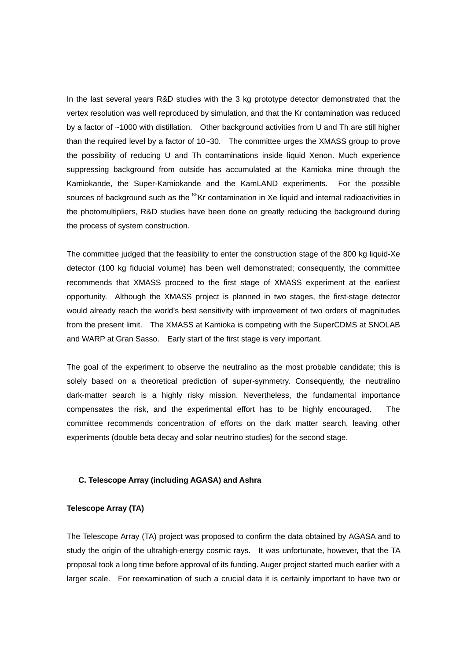In the last several years R&D studies with the 3 kg prototype detector demonstrated that the vertex resolution was well reproduced by simulation, and that the Kr contamination was reduced by a factor of ~1000 with distillation. Other background activities from U and Th are still higher than the required level by a factor of 10~30. The committee urges the XMASS group to prove the possibility of reducing U and Th contaminations inside liquid Xenon. Much experience suppressing background from outside has accumulated at the Kamioka mine through the Kamiokande, the Super-Kamiokande and the KamLAND experiments. For the possible sources of background such as the <sup>85</sup>Kr contamination in Xe liquid and internal radioactivities in the photomultipliers, R&D studies have been done on greatly reducing the background during the process of system construction.

The committee judged that the feasibility to enter the construction stage of the 800 kg liquid-Xe detector (100 kg fiducial volume) has been well demonstrated; consequently, the committee recommends that XMASS proceed to the first stage of XMASS experiment at the earliest opportunity. Although the XMASS project is planned in two stages, the first-stage detector would already reach the world's best sensitivity with improvement of two orders of magnitudes from the present limit. The XMASS at Kamioka is competing with the SuperCDMS at SNOLAB and WARP at Gran Sasso. Early start of the first stage is very important.

The goal of the experiment to observe the neutralino as the most probable candidate; this is solely based on a theoretical prediction of super-symmetry. Consequently, the neutralino dark-matter search is a highly risky mission. Nevertheless, the fundamental importance compensates the risk, and the experimental effort has to be highly encouraged. The committee recommends concentration of efforts on the dark matter search, leaving other experiments (double beta decay and solar neutrino studies) for the second stage.

# **C. Telescope Array (including AGASA) and Ashra**

#### **Telescope Array (TA)**

The Telescope Array (TA) project was proposed to confirm the data obtained by AGASA and to study the origin of the ultrahigh-energy cosmic rays. It was unfortunate, however, that the TA proposal took a long time before approval of its funding. Auger project started much earlier with a larger scale. For reexamination of such a crucial data it is certainly important to have two or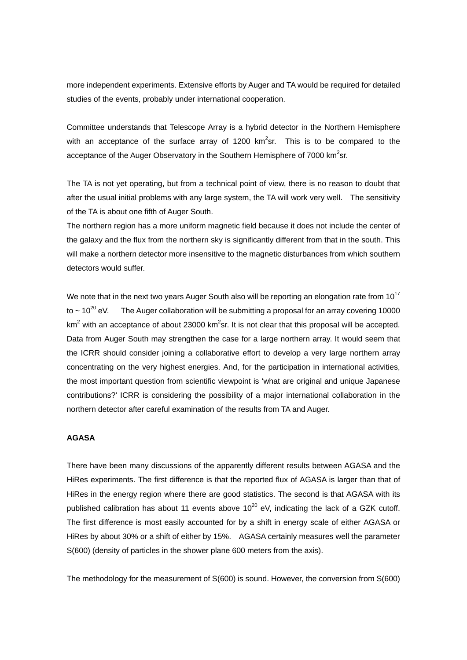more independent experiments. Extensive efforts by Auger and TA would be required for detailed studies of the events, probably under international cooperation.

Committee understands that Telescope Array is a hybrid detector in the Northern Hemisphere with an acceptance of the surface array of 1200 km<sup>2</sup>sr. This is to be compared to the acceptance of the Auger Observatory in the Southern Hemisphere of 7000 km<sup>2</sup>sr.

The TA is not yet operating, but from a technical point of view, there is no reason to doubt that after the usual initial problems with any large system, the TA will work very well. The sensitivity of the TA is about one fifth of Auger South.

The northern region has a more uniform magnetic field because it does not include the center of the galaxy and the flux from the northern sky is significantly different from that in the south. This will make a northern detector more insensitive to the magnetic disturbances from which southern detectors would suffer.

We note that in the next two years Auger South also will be reporting an elongation rate from  $10^{17}$ to  $\sim 10^{20}$  eV. The Auger collaboration will be submitting a proposal for an array covering 10000 km<sup>2</sup> with an acceptance of about 23000 km<sup>2</sup>sr. It is not clear that this proposal will be accepted. Data from Auger South may strengthen the case for a large northern array. It would seem that the ICRR should consider joining a collaborative effort to develop a very large northern array concentrating on the very highest energies. And, for the participation in international activities, the most important question from scientific viewpoint is 'what are original and unique Japanese contributions?' ICRR is considering the possibility of a major international collaboration in the northern detector after careful examination of the results from TA and Auger.

#### **AGASA**

There have been many discussions of the apparently different results between AGASA and the HiRes experiments. The first difference is that the reported flux of AGASA is larger than that of HiRes in the energy region where there are good statistics. The second is that AGASA with its published calibration has about 11 events above  $10^{20}$  eV, indicating the lack of a GZK cutoff. The first difference is most easily accounted for by a shift in energy scale of either AGASA or HiRes by about 30% or a shift of either by 15%. AGASA certainly measures well the parameter S(600) (density of particles in the shower plane 600 meters from the axis).

The methodology for the measurement of S(600) is sound. However, the conversion from S(600)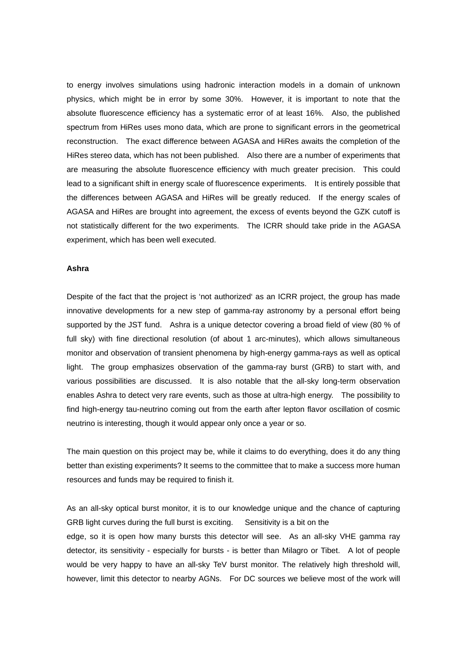to energy involves simulations using hadronic interaction models in a domain of unknown physics, which might be in error by some 30%. However, it is important to note that the absolute fluorescence efficiency has a systematic error of at least 16%. Also, the published spectrum from HiRes uses mono data, which are prone to significant errors in the geometrical reconstruction. The exact difference between AGASA and HiRes awaits the completion of the HiRes stereo data, which has not been published. Also there are a number of experiments that are measuring the absolute fluorescence efficiency with much greater precision. This could lead to a significant shift in energy scale of fluorescence experiments. It is entirely possible that the differences between AGASA and HiRes will be greatly reduced. If the energy scales of AGASA and HiRes are brought into agreement, the excess of events beyond the GZK cutoff is not statistically different for the two experiments. The ICRR should take pride in the AGASA experiment, which has been well executed.

#### **Ashra**

Despite of the fact that the project is 'not authorized' as an ICRR project, the group has made innovative developments for a new step of gamma-ray astronomy by a personal effort being supported by the JST fund. Ashra is a unique detector covering a broad field of view (80 % of full sky) with fine directional resolution (of about 1 arc-minutes), which allows simultaneous monitor and observation of transient phenomena by high-energy gamma-rays as well as optical light. The group emphasizes observation of the gamma-ray burst (GRB) to start with, and various possibilities are discussed. It is also notable that the all-sky long-term observation enables Ashra to detect very rare events, such as those at ultra-high energy. The possibility to find high-energy tau-neutrino coming out from the earth after lepton flavor oscillation of cosmic neutrino is interesting, though it would appear only once a year or so.

The main question on this project may be, while it claims to do everything, does it do any thing better than existing experiments? It seems to the committee that to make a success more human resources and funds may be required to finish it.

As an all-sky optical burst monitor, it is to our knowledge unique and the chance of capturing GRB light curves during the full burst is exciting. Sensitivity is a bit on the edge, so it is open how many bursts this detector will see. As an all-sky VHE gamma ray detector, its sensitivity - especially for bursts - is better than Milagro or Tibet. A lot of people would be very happy to have an all-sky TeV burst monitor. The relatively high threshold will, however, limit this detector to nearby AGNs. For DC sources we believe most of the work will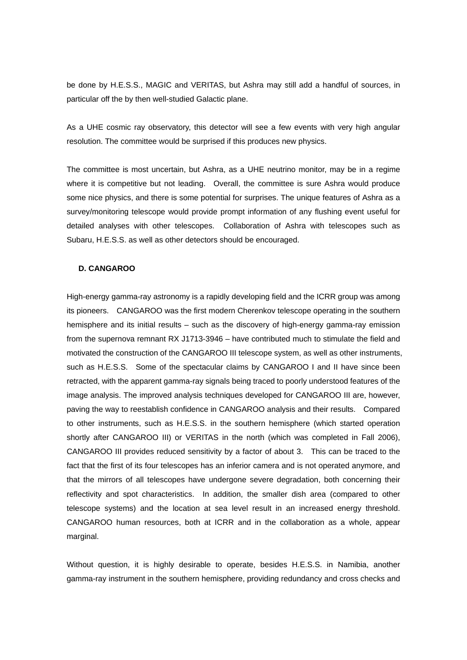be done by H.E.S.S., MAGIC and VERITAS, but Ashra may still add a handful of sources, in particular off the by then well-studied Galactic plane.

As a UHE cosmic ray observatory, this detector will see a few events with very high angular resolution. The committee would be surprised if this produces new physics.

The committee is most uncertain, but Ashra, as a UHE neutrino monitor, may be in a regime where it is competitive but not leading. Overall, the committee is sure Ashra would produce some nice physics, and there is some potential for surprises. The unique features of Ashra as a survey/monitoring telescope would provide prompt information of any flushing event useful for detailed analyses with other telescopes. Collaboration of Ashra with telescopes such as Subaru, H.E.S.S. as well as other detectors should be encouraged.

#### **D. CANGAROO**

High-energy gamma-ray astronomy is a rapidly developing field and the ICRR group was among its pioneers. CANGAROO was the first modern Cherenkov telescope operating in the southern hemisphere and its initial results – such as the discovery of high-energy gamma-ray emission from the supernova remnant RX J1713-3946 – have contributed much to stimulate the field and motivated the construction of the CANGAROO III telescope system, as well as other instruments, such as H.E.S.S. Some of the spectacular claims by CANGAROO I and II have since been retracted, with the apparent gamma-ray signals being traced to poorly understood features of the image analysis. The improved analysis techniques developed for CANGAROO III are, however, paving the way to reestablish confidence in CANGAROO analysis and their results. Compared to other instruments, such as H.E.S.S. in the southern hemisphere (which started operation shortly after CANGAROO III) or VERITAS in the north (which was completed in Fall 2006), CANGAROO III provides reduced sensitivity by a factor of about 3. This can be traced to the fact that the first of its four telescopes has an inferior camera and is not operated anymore, and that the mirrors of all telescopes have undergone severe degradation, both concerning their reflectivity and spot characteristics. In addition, the smaller dish area (compared to other telescope systems) and the location at sea level result in an increased energy threshold. CANGAROO human resources, both at ICRR and in the collaboration as a whole, appear marginal.

Without question, it is highly desirable to operate, besides H.E.S.S. in Namibia, another gamma-ray instrument in the southern hemisphere, providing redundancy and cross checks and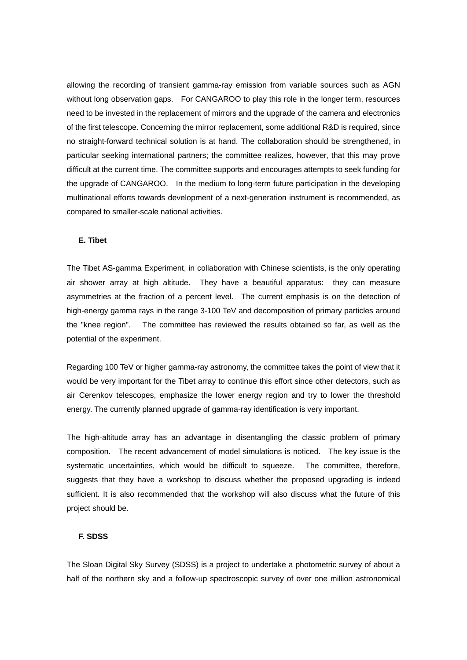allowing the recording of transient gamma-ray emission from variable sources such as AGN without long observation gaps. For CANGAROO to play this role in the longer term, resources need to be invested in the replacement of mirrors and the upgrade of the camera and electronics of the first telescope. Concerning the mirror replacement, some additional R&D is required, since no straight-forward technical solution is at hand. The collaboration should be strengthened, in particular seeking international partners; the committee realizes, however, that this may prove difficult at the current time. The committee supports and encourages attempts to seek funding for the upgrade of CANGAROO. In the medium to long-term future participation in the developing multinational efforts towards development of a next-generation instrument is recommended, as compared to smaller-scale national activities.

# **E. Tibet**

The Tibet AS-gamma Experiment, in collaboration with Chinese scientists, is the only operating air shower array at high altitude. They have a beautiful apparatus: they can measure asymmetries at the fraction of a percent level. The current emphasis is on the detection of high-energy gamma rays in the range 3-100 TeV and decomposition of primary particles around the "knee region". The committee has reviewed the results obtained so far, as well as the potential of the experiment.

Regarding 100 TeV or higher gamma-ray astronomy, the committee takes the point of view that it would be very important for the Tibet array to continue this effort since other detectors, such as air Cerenkov telescopes, emphasize the lower energy region and try to lower the threshold energy. The currently planned upgrade of gamma-ray identification is very important.

The high-altitude array has an advantage in disentangling the classic problem of primary composition. The recent advancement of model simulations is noticed. The key issue is the systematic uncertainties, which would be difficult to squeeze. The committee, therefore, suggests that they have a workshop to discuss whether the proposed upgrading is indeed sufficient. It is also recommended that the workshop will also discuss what the future of this project should be.

# **F. SDSS**

The Sloan Digital Sky Survey (SDSS) is a project to undertake a photometric survey of about a half of the northern sky and a follow-up spectroscopic survey of over one million astronomical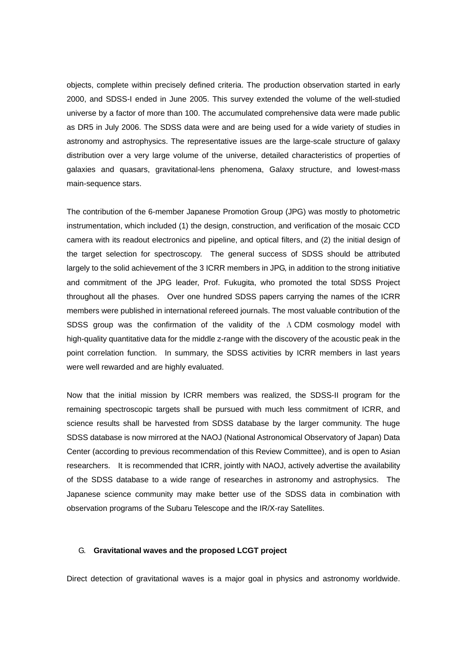objects, complete within precisely defined criteria. The production observation started in early 2000, and SDSS-I ended in June 2005. This survey extended the volume of the well-studied universe by a factor of more than 100. The accumulated comprehensive data were made public as DR5 in July 2006. The SDSS data were and are being used for a wide variety of studies in astronomy and astrophysics. The representative issues are the large-scale structure of galaxy distribution over a very large volume of the universe, detailed characteristics of properties of galaxies and quasars, gravitational-lens phenomena, Galaxy structure, and lowest-mass main-sequence stars.

The contribution of the 6-member Japanese Promotion Group (JPG) was mostly to photometric instrumentation, which included (1) the design, construction, and verification of the mosaic CCD camera with its readout electronics and pipeline, and optical filters, and (2) the initial design of the target selection for spectroscopy. The general success of SDSS should be attributed largely to the solid achievement of the 3 ICRR members in JPG, in addition to the strong initiative and commitment of the JPG leader, Prof. Fukugita, who promoted the total SDSS Project throughout all the phases. Over one hundred SDSS papers carrying the names of the ICRR members were published in international refereed journals. The most valuable contribution of the SDSS group was the confirmation of the validity of the  $\Lambda$  CDM cosmology model with high-quality quantitative data for the middle z-range with the discovery of the acoustic peak in the point correlation function. In summary, the SDSS activities by ICRR members in last years were well rewarded and are highly evaluated.

Now that the initial mission by ICRR members was realized, the SDSS-II program for the remaining spectroscopic targets shall be pursued with much less commitment of ICRR, and science results shall be harvested from SDSS database by the larger community. The huge SDSS database is now mirrored at the NAOJ (National Astronomical Observatory of Japan) Data Center (according to previous recommendation of this Review Committee), and is open to Asian researchers. It is recommended that ICRR, jointly with NAOJ, actively advertise the availability of the SDSS database to a wide range of researches in astronomy and astrophysics. The Japanese science community may make better use of the SDSS data in combination with observation programs of the Subaru Telescope and the IR/X-ray Satellites.

#### G. **Gravitational waves and the proposed LCGT project**

Direct detection of gravitational waves is a major goal in physics and astronomy worldwide.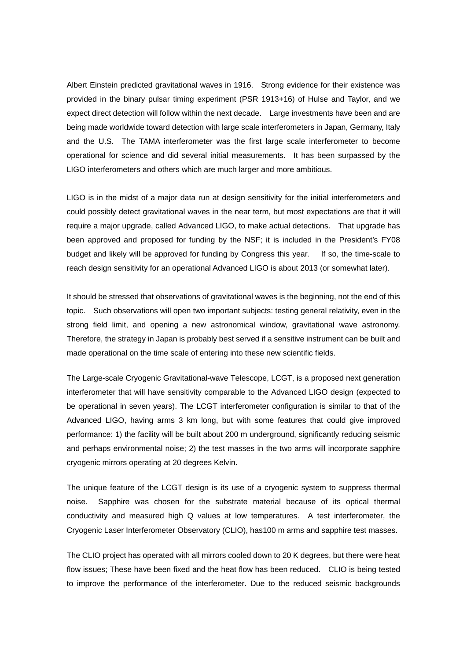Albert Einstein predicted gravitational waves in 1916. Strong evidence for their existence was provided in the binary pulsar timing experiment (PSR 1913+16) of Hulse and Taylor, and we expect direct detection will follow within the next decade. Large investments have been and are being made worldwide toward detection with large scale interferometers in Japan, Germany, Italy and the U.S. The TAMA interferometer was the first large scale interferometer to become operational for science and did several initial measurements. It has been surpassed by the LIGO interferometers and others which are much larger and more ambitious.

LIGO is in the midst of a major data run at design sensitivity for the initial interferometers and could possibly detect gravitational waves in the near term, but most expectations are that it will require a major upgrade, called Advanced LIGO, to make actual detections. That upgrade has been approved and proposed for funding by the NSF; it is included in the President's FY08 budget and likely will be approved for funding by Congress this year. If so, the time-scale to reach design sensitivity for an operational Advanced LIGO is about 2013 (or somewhat later).

It should be stressed that observations of gravitational waves is the beginning, not the end of this topic. Such observations will open two important subjects: testing general relativity, even in the strong field limit, and opening a new astronomical window, gravitational wave astronomy. Therefore, the strategy in Japan is probably best served if a sensitive instrument can be built and made operational on the time scale of entering into these new scientific fields.

The Large-scale Cryogenic Gravitational-wave Telescope, LCGT, is a proposed next generation interferometer that will have sensitivity comparable to the Advanced LIGO design (expected to be operational in seven years). The LCGT interferometer configuration is similar to that of the Advanced LIGO, having arms 3 km long, but with some features that could give improved performance: 1) the facility will be built about 200 m underground, significantly reducing seismic and perhaps environmental noise; 2) the test masses in the two arms will incorporate sapphire cryogenic mirrors operating at 20 degrees Kelvin.

The unique feature of the LCGT design is its use of a cryogenic system to suppress thermal noise. Sapphire was chosen for the substrate material because of its optical thermal conductivity and measured high Q values at low temperatures. A test interferometer, the Cryogenic Laser Interferometer Observatory (CLIO), has100 m arms and sapphire test masses.

The CLIO project has operated with all mirrors cooled down to 20 K degrees, but there were heat flow issues; These have been fixed and the heat flow has been reduced. CLIO is being tested to improve the performance of the interferometer. Due to the reduced seismic backgrounds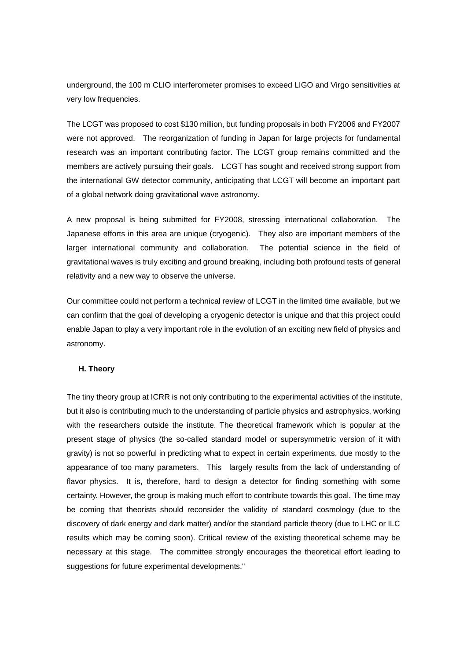underground, the 100 m CLIO interferometer promises to exceed LIGO and Virgo sensitivities at very low frequencies.

The LCGT was proposed to cost \$130 million, but funding proposals in both FY2006 and FY2007 were not approved. The reorganization of funding in Japan for large projects for fundamental research was an important contributing factor. The LCGT group remains committed and the members are actively pursuing their goals. LCGT has sought and received strong support from the international GW detector community, anticipating that LCGT will become an important part of a global network doing gravitational wave astronomy.

A new proposal is being submitted for FY2008, stressing international collaboration. The Japanese efforts in this area are unique (cryogenic). They also are important members of the larger international community and collaboration. The potential science in the field of gravitational waves is truly exciting and ground breaking, including both profound tests of general relativity and a new way to observe the universe.

Our committee could not perform a technical review of LCGT in the limited time available, but we can confirm that the goal of developing a cryogenic detector is unique and that this project could enable Japan to play a very important role in the evolution of an exciting new field of physics and astronomy.

#### **H. Theory**

The tiny theory group at ICRR is not only contributing to the experimental activities of the institute, but it also is contributing much to the understanding of particle physics and astrophysics, working with the researchers outside the institute. The theoretical framework which is popular at the present stage of physics (the so-called standard model or supersymmetric version of it with gravity) is not so powerful in predicting what to expect in certain experiments, due mostly to the appearance of too many parameters. This largely results from the lack of understanding of flavor physics. It is, therefore, hard to design a detector for finding something with some certainty. However, the group is making much effort to contribute towards this goal. The time may be coming that theorists should reconsider the validity of standard cosmology (due to the discovery of dark energy and dark matter) and/or the standard particle theory (due to LHC or ILC results which may be coming soon). Critical review of the existing theoretical scheme may be necessary at this stage. The committee strongly encourages the theoretical effort leading to suggestions for future experimental developments."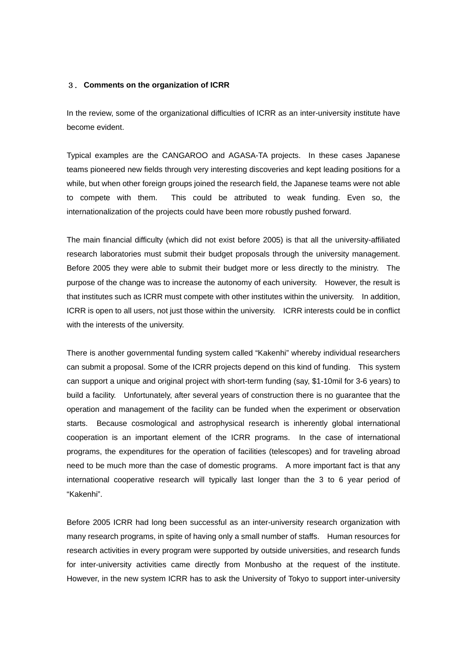# 3. **Comments on the organization of ICRR**

In the review, some of the organizational difficulties of ICRR as an inter-university institute have become evident.

Typical examples are the CANGAROO and AGASA-TA projects. In these cases Japanese teams pioneered new fields through very interesting discoveries and kept leading positions for a while, but when other foreign groups joined the research field, the Japanese teams were not able to compete with them. This could be attributed to weak funding. Even so, the internationalization of the projects could have been more robustly pushed forward.

The main financial difficulty (which did not exist before 2005) is that all the university-affiliated research laboratories must submit their budget proposals through the university management. Before 2005 they were able to submit their budget more or less directly to the ministry. The purpose of the change was to increase the autonomy of each university. However, the result is that institutes such as ICRR must compete with other institutes within the university. In addition, ICRR is open to all users, not just those within the university. ICRR interests could be in conflict with the interests of the university.

There is another governmental funding system called "Kakenhi" whereby individual researchers can submit a proposal. Some of the ICRR projects depend on this kind of funding. This system can support a unique and original project with short-term funding (say, \$1-10mil for 3-6 years) to build a facility. Unfortunately, after several years of construction there is no guarantee that the operation and management of the facility can be funded when the experiment or observation starts. Because cosmological and astrophysical research is inherently global international cooperation is an important element of the ICRR programs. In the case of international programs, the expenditures for the operation of facilities (telescopes) and for traveling abroad need to be much more than the case of domestic programs. A more important fact is that any international cooperative research will typically last longer than the 3 to 6 year period of "Kakenhi".

Before 2005 ICRR had long been successful as an inter-university research organization with many research programs, in spite of having only a small number of staffs. Human resources for research activities in every program were supported by outside universities, and research funds for inter-university activities came directly from Monbusho at the request of the institute. However, in the new system ICRR has to ask the University of Tokyo to support inter-university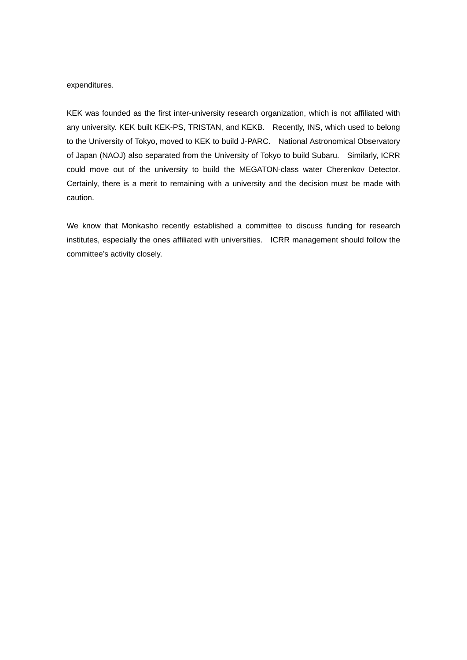#### expenditures.

KEK was founded as the first inter-university research organization, which is not affiliated with any university. KEK built KEK-PS, TRISTAN, and KEKB. Recently, INS, which used to belong to the University of Tokyo, moved to KEK to build J-PARC. National Astronomical Observatory of Japan (NAOJ) also separated from the University of Tokyo to build Subaru. Similarly, ICRR could move out of the university to build the MEGATON-class water Cherenkov Detector. Certainly, there is a merit to remaining with a university and the decision must be made with caution.

We know that Monkasho recently established a committee to discuss funding for research institutes, especially the ones affiliated with universities. ICRR management should follow the committee's activity closely.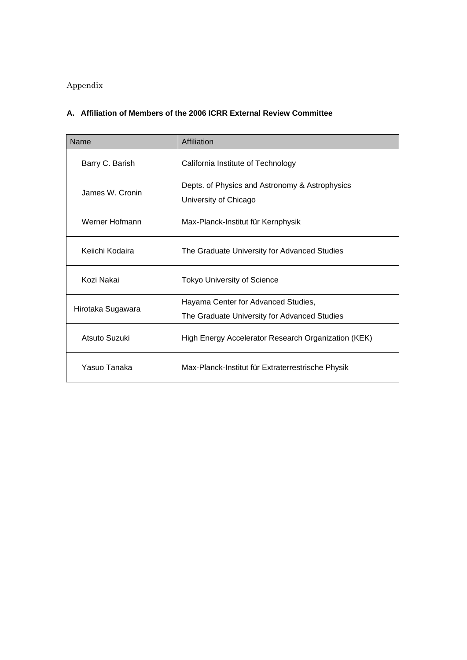# Appendix

# **A. Affiliation of Members of the 2006 ICRR External Review Committee**

| Name              | Affiliation                                                             |
|-------------------|-------------------------------------------------------------------------|
| Barry C. Barish   | California Institute of Technology                                      |
| James W. Cronin   | Depts. of Physics and Astronomy & Astrophysics<br>University of Chicago |
| Werner Hofmann    | Max-Planck-Institut für Kernphysik                                      |
| Keiichi Kodaira   | The Graduate University for Advanced Studies                            |
| Kozi Nakai        | <b>Tokyo University of Science</b>                                      |
| Hirotaka Sugawara | Hayama Center for Advanced Studies,                                     |
|                   | The Graduate University for Advanced Studies                            |
| Atsuto Suzuki     | High Energy Accelerator Research Organization (KEK)                     |
| Yasuo Tanaka      | Max-Planck-Institut für Extraterrestrische Physik                       |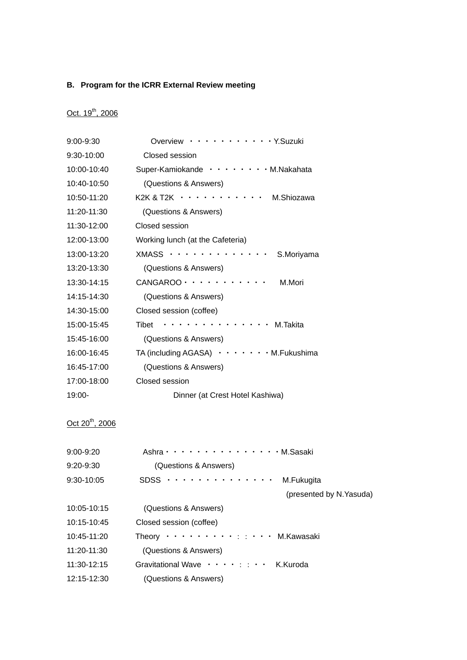# **B. Program for the ICRR External Review meeting**

# Oct. 19<sup>th</sup>, 2006

| 9:00-9:30   | Overview<br>$\cdots \cdots$ Y. Suzuki        |
|-------------|----------------------------------------------|
| 9:30-10:00  | Closed session                               |
| 10:00-10:40 | $\cdots$ M.Nakahata<br>Super-Kamiokande      |
| 10:40-10:50 | (Questions & Answers)                        |
| 10:50-11:20 | K2K & T2K<br>M.Shiozawa                      |
| 11:20-11:30 | (Questions & Answers)                        |
| 11:30-12:00 | Closed session                               |
| 12:00-13:00 | Working lunch (at the Cafeteria)             |
| 13:00-13:20 | <b>XMASS</b><br>S.Moriyama                   |
| 13:20-13:30 | (Questions & Answers)                        |
| 13:30-14:15 | CANGAROO ·<br>M.Mori                         |
| 14:15-14:30 | (Questions & Answers)                        |
| 14:30-15:00 | Closed session (coffee)                      |
| 15:00-15:45 | Tibet<br>M.Takita                            |
| 15:45-16:00 | (Questions & Answers)                        |
| 16:00-16:45 | TA (including AGASA)<br>$\cdots$ M.Fukushima |
| 16:45-17:00 | (Questions & Answers)                        |
| 17:00-18:00 | Closed session                               |
| 19:00-      | Dinner (at Crest Hotel Kashiwa)              |

# $Oct 20<sup>th</sup>$ , 2006

| $9:00 - 9:20$ | Ashra · · · · · · · · · · · · · · · · M. Sasaki                 |
|---------------|-----------------------------------------------------------------|
| 9:20-9:30     | (Questions & Answers)                                           |
| $9:30-10:05$  | SDSS $\cdots \cdots \cdots \cdots$<br>M.Fukugita                |
|               | (presented by N. Yasuda)                                        |
| 10:05-10:15   | (Questions & Answers)                                           |
| 10:15-10:45   | Closed session (coffee)                                         |
| 10:45-11:20   | Theory $\cdots$ $\cdots$ $\cdots$ $\cdots$ $\cdots$ M. Kawasaki |
| 11:20-11:30   | (Questions & Answers)                                           |
| 11:30-12:15   | Gravitational Wave ····· : : · · K.Kuroda                       |
| 12:15-12:30   | (Questions & Answers)                                           |